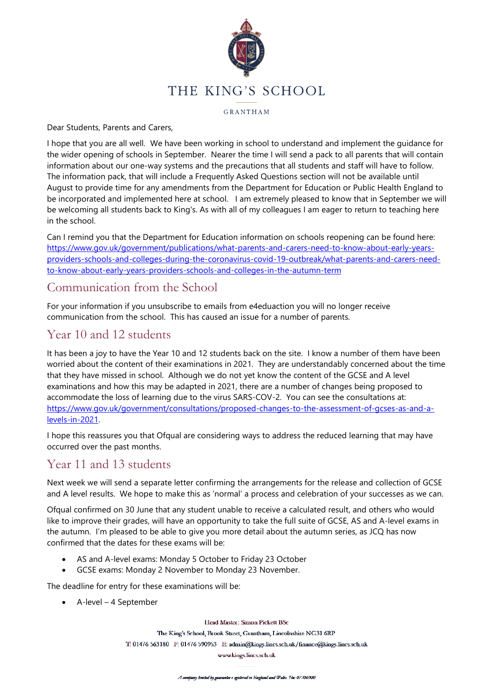

GRANTHAM

Dear Students, Parents and Carers,

I hope that you are all well. We have been working in school to understand and implement the guidance for the wider opening of schools in September. Nearer the time I will send a pack to all parents that will contain information about our one-way systems and the precautions that all students and staff will have to follow. The information pack, that will include a Frequently Asked Questions section will not be available until August to provide time for any amendments from the Department for Education or Public Health England to be incorporated and implemented here at school. I am extremely pleased to know that in September we will be welcoming all students back to King's. As with all of my colleagues I am eager to return to teaching here in the school.

Can I remind you that the Department for Education information on schools reopening can be found here: [https://www.gov.uk/government/publications/what-parents-and-carers-need-to-know-about-early-years](https://www.gov.uk/government/publications/what-parents-and-carers-need-to-know-about-early-years-providers-schools-and-colleges-during-the-coronavirus-covid-19-outbreak/what-parents-and-carers-need-to-know-about-early-years-providers-schools-and-colleges-in-the-autumn-term)[providers-schools-and-colleges-during-the-coronavirus-covid-19-outbreak/what-parents-and-carers-need](https://www.gov.uk/government/publications/what-parents-and-carers-need-to-know-about-early-years-providers-schools-and-colleges-during-the-coronavirus-covid-19-outbreak/what-parents-and-carers-need-to-know-about-early-years-providers-schools-and-colleges-in-the-autumn-term)[to-know-about-early-years-providers-schools-and-colleges-in-the-autumn-term](https://www.gov.uk/government/publications/what-parents-and-carers-need-to-know-about-early-years-providers-schools-and-colleges-during-the-coronavirus-covid-19-outbreak/what-parents-and-carers-need-to-know-about-early-years-providers-schools-and-colleges-in-the-autumn-term)

### Communication from the School

For your information if you unsubscribe to emails from e4eduaction you will no longer receive communication from the school. This has caused an issue for a number of parents.

## Year 10 and 12 students

It has been a joy to have the Year 10 and 12 students back on the site. I know a number of them have been worried about the content of their examinations in 2021. They are understandably concerned about the time that they have missed in school. Although we do not yet know the content of the GCSE and A level examinations and how this may be adapted in 2021, there are a number of changes being proposed to accommodate the loss of learning due to the virus SARS-COV-2. You can see the consultations at: [https://www.gov.uk/government/consultations/proposed-changes-to-the-assessment-of-gcses-as-and-a](https://www.gov.uk/government/consultations/proposed-changes-to-the-assessment-of-gcses-as-and-a-levels-in-2021)[levels-in-2021.](https://www.gov.uk/government/consultations/proposed-changes-to-the-assessment-of-gcses-as-and-a-levels-in-2021)

I hope this reassures you that Ofqual are considering ways to address the reduced learning that may have occurred over the past months.

# Year 11 and 13 students

Next week we will send a separate letter confirming the arrangements for the release and collection of GCSE and A level results. We hope to make this as 'normal' a process and celebration of your successes as we can.

Ofqual confirmed on 30 June that any student unable to receive a calculated result, and others who would like to improve their grades, will have an opportunity to take the full suite of GCSE, AS and A-level exams in the autumn. I'm pleased to be able to give you more detail about the autumn series, as JCQ has now confirmed that the dates for these exams will be:

- AS and A-level exams: Monday 5 October to Friday 23 October
- GCSE exams: Monday 2 November to Monday 23 November.

The deadline for entry for these examinations will be:

• A-level – 4 September

Head Master: Simon Pickett BSc

The King's School, Brook Street, Grantham, Lincolnshire NG31 6RP

T: 01476 563180 F: 01476 590953 E: admin@kings.lincs.sch.uk/finance@kings.lincs.sch.uk

www.kings.lincs.sch.uk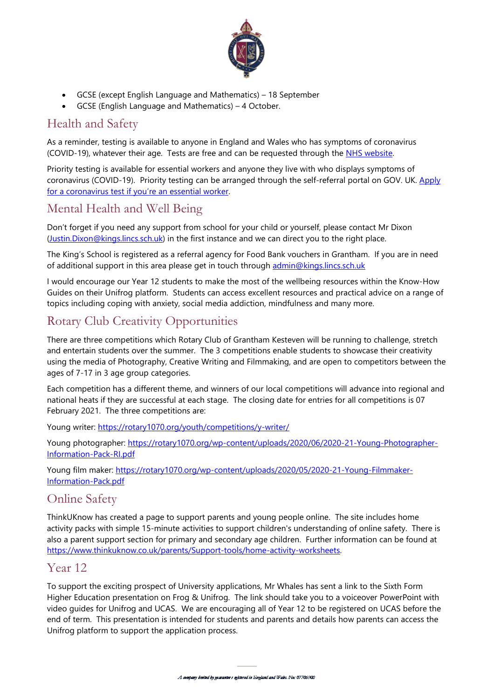

- GCSE (except English Language and Mathematics) 18 September
- GCSE (English Language and Mathematics) 4 October.

# Health and Safety

As a reminder, testing is available to anyone in England and Wales who has symptoms of coronavirus (COVID-19), whatever their age. Tests are free and can be requested through the [NHS website.](https://gbr01.safelinks.protection.outlook.com/?url=https%3A%2F%2Fwww.nhs.uk%2Fconditions%2Fcoronavirus-covid-19%2Ftesting-for-coronavirus%2Fask-for-a-test-to-check-if-you-have-coronavirus%2F%3Futm_source%3D8%2520July%25202020%2520C19%26utm_medium%3DDaily%2520Email%2520C19%26utm_campaign%3DDfE%2520C19&data=02%7C01%7CSimon.Pickett%40kings.lincs.sch.uk%7Cdccde7382aaf44b9722908d8233b304c%7Cd61f9e25f5d9419fb1e2d6470b594476%7C0%7C0%7C637298084419028742&sdata=K%2FIxH5Ilgoarv9%2FFcyB%2FpMaKQOAF%2BmhVvM9yru1sssU%3D&reserved=0)

Priority testing is available for essential workers and anyone they live with who displays symptoms of coronavirus (COVID-19). Priority testing can be arranged through the self-referral portal on GOV. UK. Apply [for a coronavirus test if you're an essential worker.](https://gbr01.safelinks.protection.outlook.com/?url=https%3A%2F%2Fwww.gov.uk%2Fapply-coronavirus-test%3Futm_source%3D8%2520July%25202020%2520C19%26utm_medium%3DDaily%2520Email%2520C19%26utm_campaign%3DDfE%2520C19&data=02%7C01%7CSimon.Pickett%40kings.lincs.sch.uk%7Cdccde7382aaf44b9722908d8233b304c%7Cd61f9e25f5d9419fb1e2d6470b594476%7C0%7C0%7C637298084419038734&sdata=PQmqcMTVs%2BQ%2Bnyc9RelHQyaaUfTguQw97%2B817NXVP2g%3D&reserved=0)

### Mental Health and Well Being

Don't forget if you need any support from school for your child or yourself, please contact Mr Dixon [\(Justin.Dixon@kings.lincs.sch.uk\)](mailto:Justin.Dixon@kings.lincs.sch.uk) in the first instance and we can direct you to the right place.

The King's School is registered as a referral agency for Food Bank vouchers in Grantham. If you are in need of additional support in this area please get in touch through [admin@kings.lincs.sch.uk](mailto:admin@kings.lincs.sch.uk?subject=Food%20Bank)

I would encourage our Year 12 students to make the most of the wellbeing resources within the Know-How Guides on their Unifrog platform. Students can access excellent resources and practical advice on a range of topics including coping with anxiety, social media addiction, mindfulness and many more.

# Rotary Club Creativity Opportunities

There are three competitions which Rotary Club of Grantham Kesteven will be running to challenge, stretch and entertain students over the summer. The 3 competitions enable students to showcase their creativity using the media of Photography, Creative Writing and Filmmaking, and are open to competitors between the ages of 7-17 in 3 age group categories.

Each competition has a different theme, and winners of our local competitions will advance into regional and national heats if they are successful at each stage. The closing date for entries for all competitions is 07 February 2021. The three competitions are:

Young writer:<https://rotary1070.org/youth/competitions/y-writer/>

Young photographer: [https://rotary1070.org/wp-content/uploads/2020/06/2020-21-Young-Photographer-](https://rotary1070.org/wp-content/uploads/2020/06/2020-21-Young-Photographer-Information-Pack-RI.pdf)[Information-Pack-RI.pdf](https://rotary1070.org/wp-content/uploads/2020/06/2020-21-Young-Photographer-Information-Pack-RI.pdf)

Young film maker: [https://rotary1070.org/wp-content/uploads/2020/05/2020-21-Young-Filmmaker-](https://rotary1070.org/wp-content/uploads/2020/05/2020-21-Young-Filmmaker-Information-Pack.pdf)[Information-Pack.pdf](https://rotary1070.org/wp-content/uploads/2020/05/2020-21-Young-Filmmaker-Information-Pack.pdf)

### Online Safety

ThinkUKnow has created a page to support parents and young people online. The site includes home activity packs with simple 15-minute activities to support children's understanding of online safety. There is also a parent support section for primary and secondary age children. Further information can be found at [https://www.thinkuknow.co.uk/parents/Support-tools/home-activity-worksheets.](https://www.thinkuknow.co.uk/parents/Support-tools/home-activity-worksheets)

#### Year 12

To support the exciting prospect of University applications, Mr Whales has sent a link to the Sixth Form Higher Education presentation on Frog & Unifrog. The link should take you to a voiceover PowerPoint with video guides for Unifrog and UCAS. We are encouraging all of Year 12 to be registered on UCAS before the end of term. This presentation is intended for students and parents and details how parents can access the Unifrog platform to support the application process.